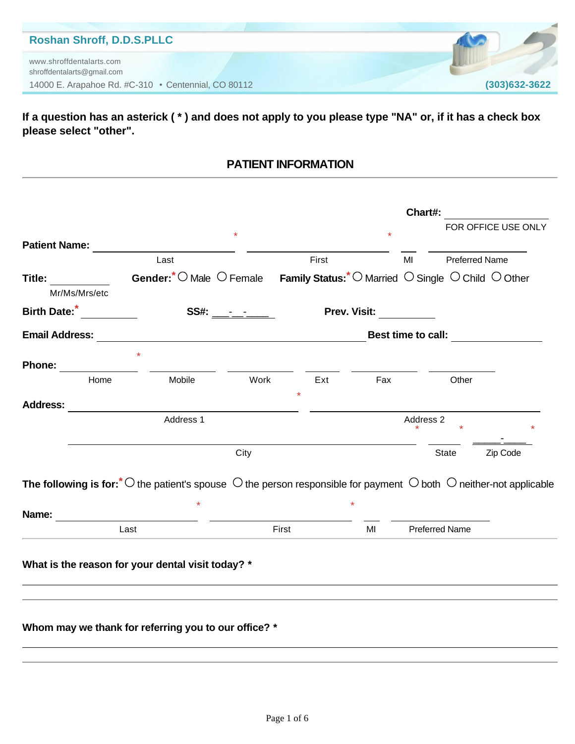#### **Roshan Shroff, D.D.S.PLLC**

14000 E. Arapahoe Rd. #C-310 • Centennial, CO 80112 **(303)632-3622** www.shroffdentalarts.com shroffdentalarts@gmail.com

**If a question has an asterick ( \* ) and does not apply to you please type "NA" or, if it has a check box please select "other".**

#### **PATIENT INFORMATION**

|                                                                          |                                                                                                                                                                                                                                     |                  |                                                                                                                       |              | Chart#:                   |                       |
|--------------------------------------------------------------------------|-------------------------------------------------------------------------------------------------------------------------------------------------------------------------------------------------------------------------------------|------------------|-----------------------------------------------------------------------------------------------------------------------|--------------|---------------------------|-----------------------|
|                                                                          |                                                                                                                                                                                                                                     |                  |                                                                                                                       |              |                           | FOR OFFICE USE ONLY   |
|                                                                          | Patient Name: <b>Example 2</b> and the set of the set of the set of the set of the set of the set of the set of the set of the set of the set of the set of the set of the set of the set of the set of the set of the set of the s |                  |                                                                                                                       |              |                           |                       |
|                                                                          | Last                                                                                                                                                                                                                                |                  | First                                                                                                                 |              | MI                        | <b>Preferred Name</b> |
| Title: <b>All According to the Street Street Street</b><br>Mr/Ms/Mrs/etc | Gender:* O Male O Female Family Status:* O Married O Single O Child O Other                                                                                                                                                         |                  |                                                                                                                       |              |                           |                       |
| Birth Date: <sup>*</sup>                                                 |                                                                                                                                                                                                                                     | SS#: ___-__-____ |                                                                                                                       | Prev. Visit: |                           |                       |
| <b>Email Address:</b>                                                    |                                                                                                                                                                                                                                     |                  | <u> 1980 - Johann Barbara, martin da basar da basar da basar da basar da basar da basar da basar da basar da basa</u> |              | <b>Best time to call:</b> |                       |
| <b>Phone:</b>                                                            |                                                                                                                                                                                                                                     |                  |                                                                                                                       |              |                           |                       |
| Home                                                                     | Mobile                                                                                                                                                                                                                              | Work             | Ext                                                                                                                   | Fax          |                           | Other                 |
| <b>Address:</b>                                                          |                                                                                                                                                                                                                                     |                  |                                                                                                                       |              |                           |                       |
|                                                                          | Address 1                                                                                                                                                                                                                           |                  |                                                                                                                       |              | Address 2                 |                       |
|                                                                          |                                                                                                                                                                                                                                     | City             |                                                                                                                       |              |                           | State<br>Zip Code     |
|                                                                          | The following is for: $*$ $\circ$ the patient's spouse $\circ$ the person responsible for payment $\circ$ both $\circ$ neither-not applicable                                                                                       |                  |                                                                                                                       |              |                           |                       |
| Name:                                                                    | <u> 1980 - Johann Barbara, martxa eta batarra (h. 1980).</u>                                                                                                                                                                        |                  |                                                                                                                       |              |                           |                       |
|                                                                          | Last                                                                                                                                                                                                                                |                  | First                                                                                                                 | MI           | <b>Preferred Name</b>     |                       |
|                                                                          | What is the reason for your dental visit today? *                                                                                                                                                                                   |                  |                                                                                                                       |              |                           |                       |
|                                                                          |                                                                                                                                                                                                                                     |                  |                                                                                                                       |              |                           |                       |
|                                                                          | Whom may we thank for referring you to our office? *                                                                                                                                                                                |                  |                                                                                                                       |              |                           |                       |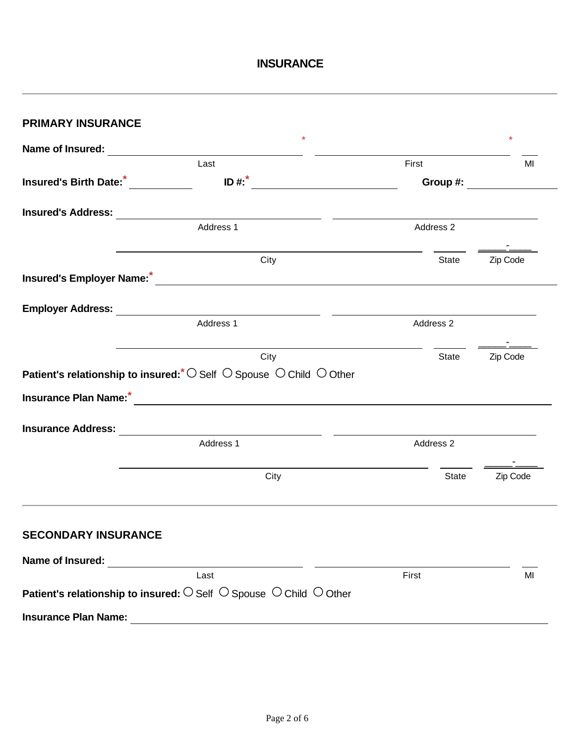### **INSURANCE**

| <b>PRIMARY INSURANCE</b>    |                                                                                                                                            |                                 |          |  |  |
|-----------------------------|--------------------------------------------------------------------------------------------------------------------------------------------|---------------------------------|----------|--|--|
|                             | $\star$                                                                                                                                    |                                 | $\star$  |  |  |
|                             | Last                                                                                                                                       | First                           | MI       |  |  |
|                             | $\overline{1}$ <b>D</b> #: $\overline{1}$ <b>T</b>                                                                                         | Group #: $\qquad \qquad \qquad$ |          |  |  |
|                             |                                                                                                                                            |                                 |          |  |  |
|                             | Address 1                                                                                                                                  | Address 2                       |          |  |  |
|                             | City                                                                                                                                       | <b>State</b>                    | Zip Code |  |  |
|                             |                                                                                                                                            |                                 |          |  |  |
|                             |                                                                                                                                            |                                 |          |  |  |
|                             | Address 1                                                                                                                                  | Address 2                       |          |  |  |
|                             | City                                                                                                                                       | State                           | Zip Code |  |  |
|                             | Patient's relationship to insured: $\circlearrowright$ Self $\circlearrowright$ Spouse $\circlearrowright$ Child $\circlearrowright$ Other |                                 |          |  |  |
|                             |                                                                                                                                            |                                 |          |  |  |
| <b>Insurance Address:</b>   | <u> 1989 - Andrea Station Barbara, amerikan per</u>                                                                                        |                                 |          |  |  |
|                             | Address 1                                                                                                                                  | Address 2                       |          |  |  |
|                             | City                                                                                                                                       | State                           | Zip Code |  |  |
| <b>SECONDARY INSURANCE</b>  |                                                                                                                                            |                                 |          |  |  |
|                             |                                                                                                                                            |                                 |          |  |  |
|                             | Last                                                                                                                                       | First                           | MI       |  |  |
|                             | Patient's relationship to insured: $\bigcirc$ Self $\bigcirc$ Spouse $\bigcirc$ Child $\bigcirc$ Other                                     |                                 |          |  |  |
| <b>Insurance Plan Name:</b> |                                                                                                                                            |                                 |          |  |  |
|                             |                                                                                                                                            |                                 |          |  |  |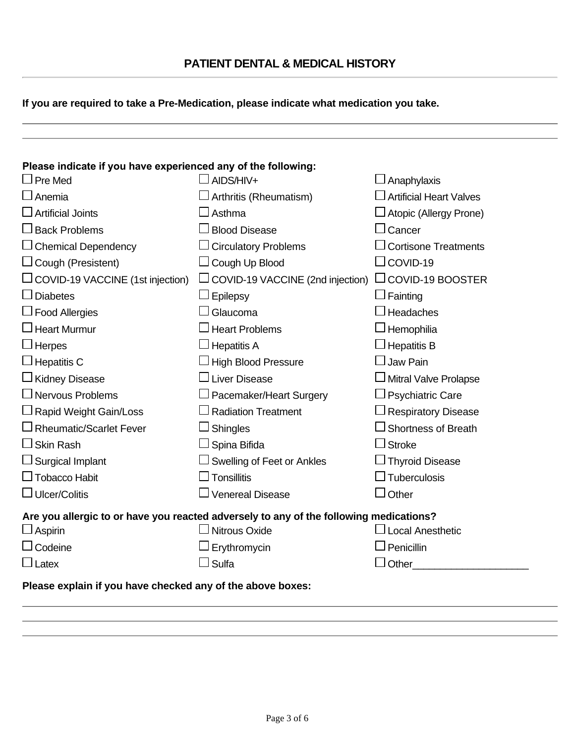|  | PATIENT DENTAL & MEDICAL HISTORY |
|--|----------------------------------|
|--|----------------------------------|

**If you are required to take a Pre-Medication, please indicate what medication you take.**

| Please indicate if you have experienced any of the following:                          |                                         |                                |  |  |  |
|----------------------------------------------------------------------------------------|-----------------------------------------|--------------------------------|--|--|--|
| $\Box$ Pre Med                                                                         | AIDS/HIV+                               | Anaphylaxis                    |  |  |  |
| $\Box$ Anemia                                                                          | Arthritis (Rheumatism)                  | <b>Artificial Heart Valves</b> |  |  |  |
| <b>Artificial Joints</b>                                                               | Asthma                                  | Atopic (Allergy Prone)         |  |  |  |
| $\Box$ Back Problems                                                                   | <b>Blood Disease</b>                    | Cancer                         |  |  |  |
| $\Box$ Chemical Dependency                                                             | <b>Circulatory Problems</b>             | <b>Cortisone Treatments</b>    |  |  |  |
| $\Box$ Cough (Presistent)                                                              | $\Box$ Cough Up Blood                   | COVID-19                       |  |  |  |
| $\Box$ COVID-19 VACCINE (1st injection)                                                | $\Box$ COVID-19 VACCINE (2nd injection) | $\Box$ COVID-19 BOOSTER        |  |  |  |
| Diabetes                                                                               | Epilepsy                                | Fainting                       |  |  |  |
| $\Box$ Food Allergies                                                                  | Glaucoma                                | <b>Headaches</b>               |  |  |  |
| $\Box$ Heart Murmur                                                                    | <b>Heart Problems</b>                   | Hemophilia                     |  |  |  |
| $\Box$ Herpes                                                                          | <b>Hepatitis A</b>                      | <b>Hepatitis B</b>             |  |  |  |
| $\Box$ Hepatitis C                                                                     | <b>High Blood Pressure</b>              | Jaw Pain                       |  |  |  |
| $\Box$ Kidney Disease                                                                  | <b>Liver Disease</b>                    | <b>Mitral Valve Prolapse</b>   |  |  |  |
| $\Box$ Nervous Problems                                                                | Pacemaker/Heart Surgery                 | <b>Psychiatric Care</b>        |  |  |  |
| □ Rapid Weight Gain/Loss                                                               | <b>Radiation Treatment</b>              | <b>Respiratory Disease</b>     |  |  |  |
| $\Box$ Rheumatic/Scarlet Fever                                                         | Shingles                                | <b>Shortness of Breath</b>     |  |  |  |
| $\Box$ Skin Rash                                                                       | Spina Bifida                            | <b>Stroke</b>                  |  |  |  |
| $\Box$ Surgical Implant                                                                | Swelling of Feet or Ankles              | <b>Thyroid Disease</b>         |  |  |  |
| $\Box$ Tobacco Habit                                                                   | <b>Tonsillitis</b>                      | <b>Tuberculosis</b>            |  |  |  |
| $\Box$ Ulcer/Colitis                                                                   | Venereal Disease                        | Other                          |  |  |  |
| Are you allergic to or have you reacted adversely to any of the following medications? |                                         |                                |  |  |  |
| $\Box$ Aspirin                                                                         | <b>Nitrous Oxide</b>                    | <b>Local Anesthetic</b>        |  |  |  |
| $\Box$ Codeine                                                                         | Erythromycin                            | Penicillin                     |  |  |  |
| $\Box$ Latex                                                                           | Sulfa                                   | Other                          |  |  |  |
| Please explain if you have checked any of the above boxes:                             |                                         |                                |  |  |  |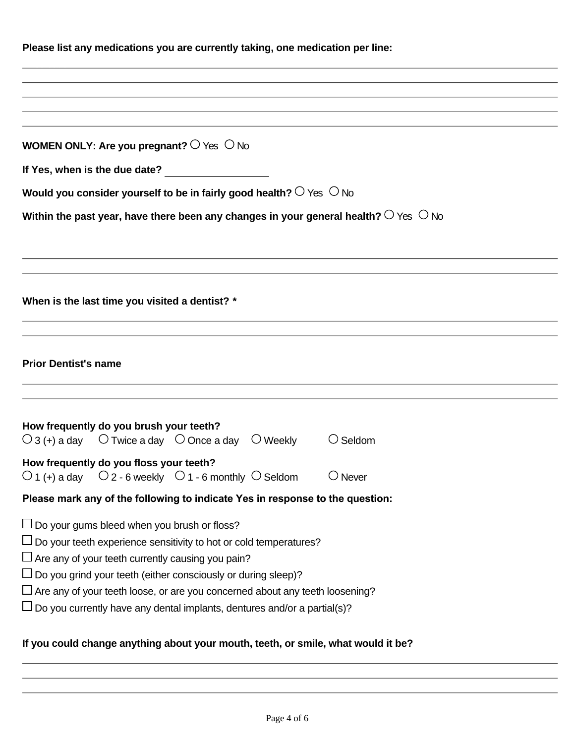| Please list any medications you are currently taking, one medication per line:                                                                                                                                                                                                                                                                                                                                                               |                   |  |  |  |
|----------------------------------------------------------------------------------------------------------------------------------------------------------------------------------------------------------------------------------------------------------------------------------------------------------------------------------------------------------------------------------------------------------------------------------------------|-------------------|--|--|--|
|                                                                                                                                                                                                                                                                                                                                                                                                                                              |                   |  |  |  |
|                                                                                                                                                                                                                                                                                                                                                                                                                                              |                   |  |  |  |
|                                                                                                                                                                                                                                                                                                                                                                                                                                              |                   |  |  |  |
| WOMEN ONLY: Are you pregnant? $\circ$ Yes $\circ$ No                                                                                                                                                                                                                                                                                                                                                                                         |                   |  |  |  |
| If Yes, when is the due date?                                                                                                                                                                                                                                                                                                                                                                                                                |                   |  |  |  |
| Would you consider yourself to be in fairly good health? $\bigcirc$ Yes $\bigcirc$ No                                                                                                                                                                                                                                                                                                                                                        |                   |  |  |  |
| Within the past year, have there been any changes in your general health? $\bigcirc$ Yes $\bigcirc$ No                                                                                                                                                                                                                                                                                                                                       |                   |  |  |  |
|                                                                                                                                                                                                                                                                                                                                                                                                                                              |                   |  |  |  |
| When is the last time you visited a dentist? *                                                                                                                                                                                                                                                                                                                                                                                               |                   |  |  |  |
| <b>Prior Dentist's name</b>                                                                                                                                                                                                                                                                                                                                                                                                                  |                   |  |  |  |
| How frequently do you brush your teeth?<br>$\bigcirc$ 3 (+) a day $\bigcirc$ Twice a day $\bigcirc$ Once a day $\bigcirc$ Weekly                                                                                                                                                                                                                                                                                                             | $\bigcirc$ Seldom |  |  |  |
| How frequently do you floss your teeth?<br>$\circ$ 1 (+) a day $\circ$ Q 2 - 6 weekly $\circ$ 1 - 6 monthly $\circ$ Seldom                                                                                                                                                                                                                                                                                                                   | $\bigcirc$ Never  |  |  |  |
| Please mark any of the following to indicate Yes in response to the question:                                                                                                                                                                                                                                                                                                                                                                |                   |  |  |  |
| $\Box$ Do your gums bleed when you brush or floss?<br>$\Box$ Do your teeth experience sensitivity to hot or cold temperatures?<br>$\Box$ Are any of your teeth currently causing you pain?<br>$\Box$ Do you grind your teeth (either consciously or during sleep)?<br>$\Box$ Are any of your teeth loose, or are you concerned about any teeth loosening?<br>$\Box$ Do you currently have any dental implants, dentures and/or a partial(s)? |                   |  |  |  |

# **If you could change anything about your mouth, teeth, or smile, what would it be?**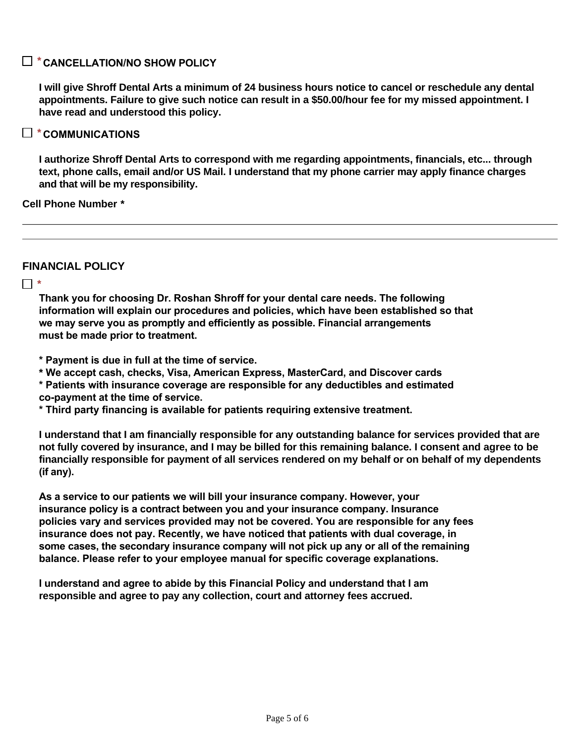#### **CANCELLATION/NO SHOW POLICY** *\**

**I will give Shroff Dental Arts a minimum of 24 business hours notice to cancel or reschedule any dental appointments. Failure to give such notice can result in a \$50.00/hour fee for my missed appointment. I have read and understood this policy.**

#### **COMMUNICATIONS** *\**

**I authorize Shroff Dental Arts to correspond with me regarding appointments, financials, etc... through text, phone calls, email and/or US Mail. I understand that my phone carrier may apply finance charges and that will be my responsibility.**

#### **Cell Phone Number** *\**

**FINANCIAL POLICY**

*\**

**Thank you for choosing Dr. Roshan Shroff for your dental care needs. The following information will explain our procedures and policies, which have been established so that we may serve you as promptly and efficiently as possible. Financial arrangements must be made prior to treatment.**

**\* Payment is due in full at the time of service.** 

**\* We accept cash, checks, Visa, American Express, MasterCard, and Discover cards**

**\* Patients with insurance coverage are responsible for any deductibles and estimated co-payment at the time of service.**

**\* Third party financing is available for patients requiring extensive treatment.**

**I understand that I am financially responsible for any outstanding balance for services provided that are not fully covered by insurance, and I may be billed for this remaining balance. I consent and agree to be financially responsible for payment of all services rendered on my behalf or on behalf of my dependents (if any).**

**As a service to our patients we will bill your insurance company. However, your insurance policy is a contract between you and your insurance company. Insurance policies vary and services provided may not be covered. You are responsible for any fees insurance does not pay. Recently, we have noticed that patients with dual coverage, in some cases, the secondary insurance company will not pick up any or all of the remaining balance. Please refer to your employee manual for specific coverage explanations.**

**I understand and agree to abide by this Financial Policy and understand that I am responsible and agree to pay any collection, court and attorney fees accrued.**